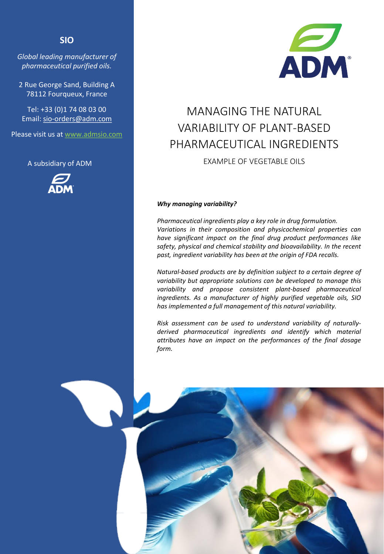## **SIO**

*Global leading manufacturer of pharmaceutical purified oils.*

2 Rue George Sand, Building A 78112 Fourqueux, France

Tel: +33 (0)1 74 08 03 00 Email: sio-orders@adm.com

Please visit us at www.admsio.com

A subsidiary of ADM





# MANAGING THE NATURAL VARIABILITY OF PLANT-BASED PHARMACEUTICAL INGREDIENTS

EXAMPLE OF VEGETABLE OILS

## *Why managing variability?*

*Pharmaceutical ingredients play a key role in drug formulation. Variations in their composition and physicochemical properties can have significant impact on the final drug product performances like safety, physical and chemical stability and bioavailability. In the recent past, ingredient variability has been at the origin of FDA recalls.*

*Natural-based products are by definition subject to a certain degree of variability but appropriate solutions can be developed to manage this variability and propose consistent plant-based pharmaceutical ingredients. As a manufacturer of highly purified vegetable oils, SIO has implemented a full management of this natural variability.*

*Risk assessment can be used to understand variability of naturallyderived pharmaceutical ingredients and identify which material attributes have an impact on the performances of the final dosage form.*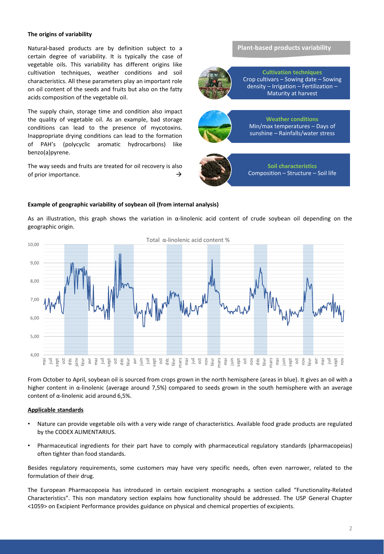### **The origins of variability**

Natural-based products are by definition subject to a certain degree of variability. It is typically the case of vegetable oils. This variability has different origins like cultivation techniques, weather conditions and soil characteristics. All these parameters play an important role on oil content of the seeds and fruits but also on the fatty acids composition of the vegetable oil.

The supply chain, storage time and condition also impact the quality of vegetable oil. As an example, bad storage conditions can lead to the presence of mycotoxins. Inappropriate drying conditions can lead to the formation of PAH's (polycyclic aromatic hydrocarbons) like benzo(a)pyrene.

The way seeds and fruits are treated for oil recovery is also of prior importance.  $\rightarrow$ 

**Plant-based products variability**



**Cultivation techniques** Crop cultivars – Sowing date – Sowing density – Irrigation – Fertilization – Maturity at harvest



**Weather conditions** Min/max temperatures – Days of sunshine – Rainfalls/water stress



#### **Example of geographic variability of soybean oil (from internal analysis)**

As an illustration, this graph shows the variation in α-linolenic acid content of crude soybean oil depending on the geographic origin.



From October to April, soybean oil is sourced from crops grown in the north hemisphere (areas in blue). It gives an oil with a higher content in α-linolenic (average around 7,5%) compared to seeds grown in the south hemisphere with an average content of α-linolenic acid around 6,5%.

#### **Applicable standards**

- Nature can provide vegetable oils with a very wide range of characteristics. Available food grade products are regulated by the CODEX ALIMENTARIUS.
- Pharmaceutical ingredients for their part have to comply with pharmaceutical regulatory standards (pharmacopeias) often tighter than food standards.

Besides regulatory requirements, some customers may have very specific needs, often even narrower, related to the formulation of their drug.

The European Pharmacopoeia has introduced in certain excipient monographs a section called "Functionality-Related Characteristics". This non mandatory section explains how functionality should be addressed. The USP General Chapter <1059> on Excipient Performance provides guidance on physical and chemical properties of excipients.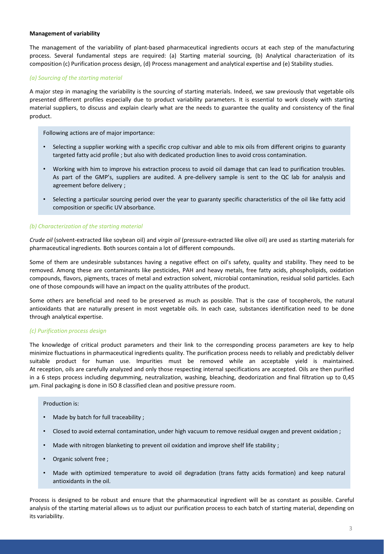## **Management of variability**

The management of the variability of plant-based pharmaceutical ingredients occurs at each step of the manufacturing process. Several fundamental steps are required: (a) Starting material sourcing, (b) Analytical characterization of its composition (c) Purification process design, (d) Process management and analytical expertise and (e) Stability studies.

## *(a) Sourcing of the starting material*

A major step in managing the variability is the sourcing of starting materials. Indeed, we saw previously that vegetable oils presented different profiles especially due to product variability parameters. It is essential to work closely with starting material suppliers, to discuss and explain clearly what are the needs to guarantee the quality and consistency of the final product.

Following actions are of major importance:

- Selecting a supplier working with a specific crop cultivar and able to mix oils from different origins to guaranty targeted fatty acid profile ; but also with dedicated production lines to avoid cross contamination.
- Working with him to improve his extraction process to avoid oil damage that can lead to purification troubles. As part of the GMP's, suppliers are audited. A pre-delivery sample is sent to the QC lab for analysis and agreement before delivery ;
- Selecting a particular sourcing period over the year to guaranty specific characteristics of the oil like fatty acid composition or specific UV absorbance.

## *(b) Characterization of the starting material*

*Crude oil* (solvent-extracted like soybean oil) and *virgin oil* (pressure-extracted like olive oil) are used as starting materials for pharmaceutical ingredients. Both sources contain a lot of different compounds.

Some of them are undesirable substances having a negative effect on oil's safety, quality and stability. They need to be removed. Among these are contaminants like pesticides, PAH and heavy metals, free fatty acids, phospholipids, oxidation compounds, flavors, pigments, traces of metal and extraction solvent, microbial contamination, residual solid particles. Each one of those compounds will have an impact on the quality attributes of the product.

Some others are beneficial and need to be preserved as much as possible. That is the case of tocopherols, the natural antioxidants that are naturally present in most vegetable oils. In each case, substances identification need to be done through analytical expertise.

## *(c) Purification process design*

The knowledge of critical product parameters and their link to the corresponding process parameters are key to help minimize fluctuations in pharmaceutical ingredients quality. The purification process needs to reliably and predictably deliver suitable product for human use. Impurities must be removed while an acceptable yield is maintained. At reception, oils are carefully analyzed and only those respecting internal specifications are accepted. Oils are then purified in a 6 steps process including degumming, neutralization, washing, bleaching, deodorization and final filtration up to 0,45 µm. Final packaging is done in ISO 8 classified clean and positive pressure room.

## Production is:

- Made by batch for full traceability ;
- Closed to avoid external contamination, under high vacuum to remove residual oxygen and prevent oxidation ;
- Made with nitrogen blanketing to prevent oil oxidation and improve shelf life stability ;
- Organic solvent free ;
- Made with optimized temperature to avoid oil degradation (trans fatty acids formation) and keep natural antioxidants in the oil.

Process is designed to be robust and ensure that the pharmaceutical ingredient will be as constant as possible. Careful analysis of the starting material allows us to adjust our purification process to each batch of starting material, depending on its variability.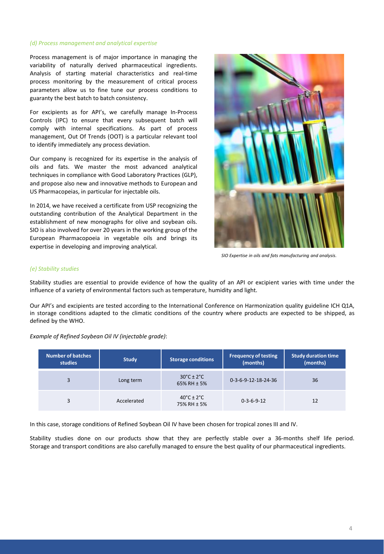#### *(d) Process management and analytical expertise*

Process management is of major importance in managing the variability of naturally derived pharmaceutical ingredients. Analysis of starting material characteristics and real-time process monitoring by the measurement of critical process parameters allow us to fine tune our process conditions to guaranty the best batch to batch consistency.

For excipients as for API's, we carefully manage In-Process Controls (IPC) to ensure that every subsequent batch will comply with internal specifications. As part of process management, Out Of Trends (OOT) is a particular relevant tool to identify immediately any process deviation.

Our company is recognized for its expertise in the analysis of oils and fats. We master the most advanced analytical techniques in compliance with Good Laboratory Practices (GLP), and propose also new and innovative methods to European and US Pharmacopeias, in particular for injectable oils.

In 2014, we have received a certificate from USP recognizing the outstanding contribution of the Analytical Department in the establishment of new monographs for olive and soybean oils. SIO is also involved for over 20 years in the working group of the European Pharmacopoeia in vegetable oils and brings its expertise in developing and improving analytical.



*SIO Expertise in oils and fats manufacturing and analysis.*

#### *(e) Stability studies*

Stability studies are essential to provide evidence of how the quality of an API or excipient varies with time under the influence of a variety of environmental factors such as temperature, humidity and light.

Our API's and excipients are tested according to the International Conference on Harmonization quality guideline ICH Q1A, in storage conditions adapted to the climatic conditions of the country where products are expected to be shipped, as defined by the WHO.

*Example of Refined Soybean Oil IV (injectable grade)*:

| <b>Number of batches</b><br>studies | <b>Study</b> | <b>Storage conditions</b>                      | <b>Frequency of testing</b><br>(months) | <b>Study duration time</b><br>(months) |
|-------------------------------------|--------------|------------------------------------------------|-----------------------------------------|----------------------------------------|
| 3                                   | Long term    | $30^{\circ}$ C ± 2 $^{\circ}$ C<br>65% RH ± 5% | 0-3-6-9-12-18-24-36                     | 36                                     |
| 3                                   | Accelerated  | $40^{\circ}$ C ± 2 $^{\circ}$ C<br>75% RH ± 5% | $0 - 3 - 6 - 9 - 12$                    | 12                                     |

In this case, storage conditions of Refined Soybean Oil IV have been chosen for tropical zones III and IV.

Stability studies done on our products show that they are perfectly stable over a 36-months shelf life period. Storage and transport conditions are also carefully managed to ensure the best quality of our pharmaceutical ingredients.